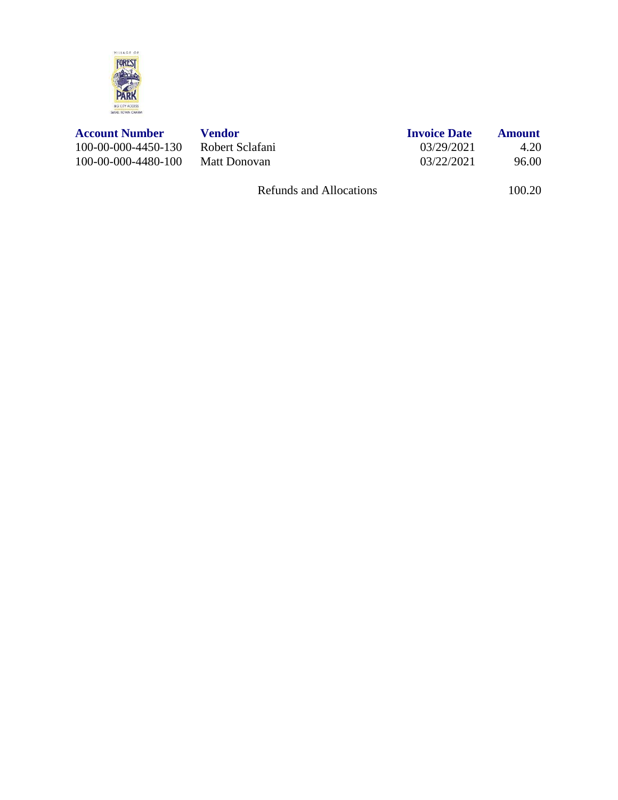

| Vendor          |  |
|-----------------|--|
| Robert Sclafani |  |
| Matt Donovan    |  |

| <b>Account Number</b> | Vendor          | <b>Invoice Date</b> | Amount |
|-----------------------|-----------------|---------------------|--------|
| 100-00-000-4450-130   | Robert Sclafani | 03/29/2021          | 4.20   |
| 100-00-000-4480-100   | Matt Donovan    | 03/22/2021          | 96.00  |

Refunds and Allocations 100.20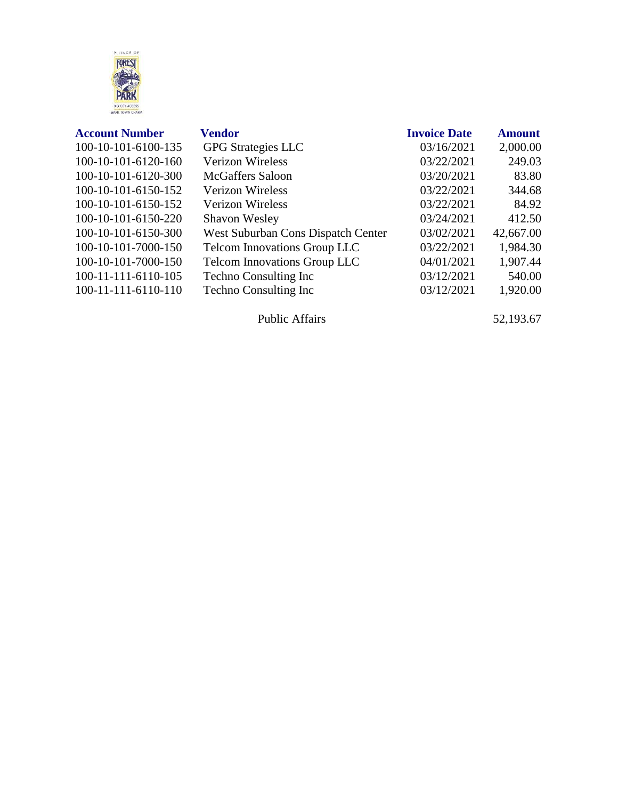

| <b>Account Number</b> | <b>Vendor</b>                       | <b>Invoice Date</b> | <b>Amount</b> |
|-----------------------|-------------------------------------|---------------------|---------------|
| 100-10-101-6100-135   | <b>GPG</b> Strategies LLC           | 03/16/2021          | 2,000.00      |
| 100-10-101-6120-160   | <b>Verizon Wireless</b>             | 03/22/2021          | 249.03        |
| 100-10-101-6120-300   | <b>McGaffers Saloon</b>             | 03/20/2021          | 83.80         |
| 100-10-101-6150-152   | <b>Verizon Wireless</b>             | 03/22/2021          | 344.68        |
| 100-10-101-6150-152   | <b>Verizon Wireless</b>             | 03/22/2021          | 84.92         |
| 100-10-101-6150-220   | <b>Shavon Wesley</b>                | 03/24/2021          | 412.50        |
| 100-10-101-6150-300   | West Suburban Cons Dispatch Center  | 03/02/2021          | 42,667.00     |
| 100-10-101-7000-150   | <b>Telcom Innovations Group LLC</b> | 03/22/2021          | 1,984.30      |
| 100-10-101-7000-150   | <b>Telcom Innovations Group LLC</b> | 04/01/2021          | 1,907.44      |
| 100-11-111-6110-105   | <b>Techno Consulting Inc.</b>       | 03/12/2021          | 540.00        |
| 100-11-111-6110-110   | <b>Techno Consulting Inc.</b>       | 03/12/2021          | 1,920.00      |
|                       |                                     |                     |               |

Public Affairs 52,193.67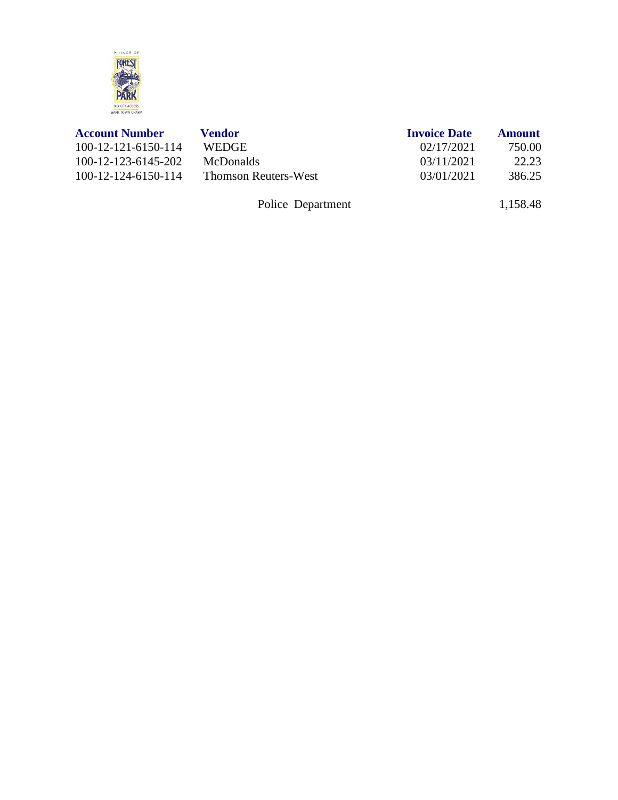

| <b>Account Number</b> | Vendor                      | <b>Invoice Date</b> | <b>Amount</b> |
|-----------------------|-----------------------------|---------------------|---------------|
| 100-12-121-6150-114   | <b>WEDGE</b>                | 02/17/2021          | 750.00        |
| 100-12-123-6145-202   | <b>McDonalds</b>            | 03/11/2021          | 22.23         |
| 100-12-124-6150-114   | <b>Thomson Reuters-West</b> | 03/01/2021          | 386.25        |
|                       | Police Department           |                     | 1,158.48      |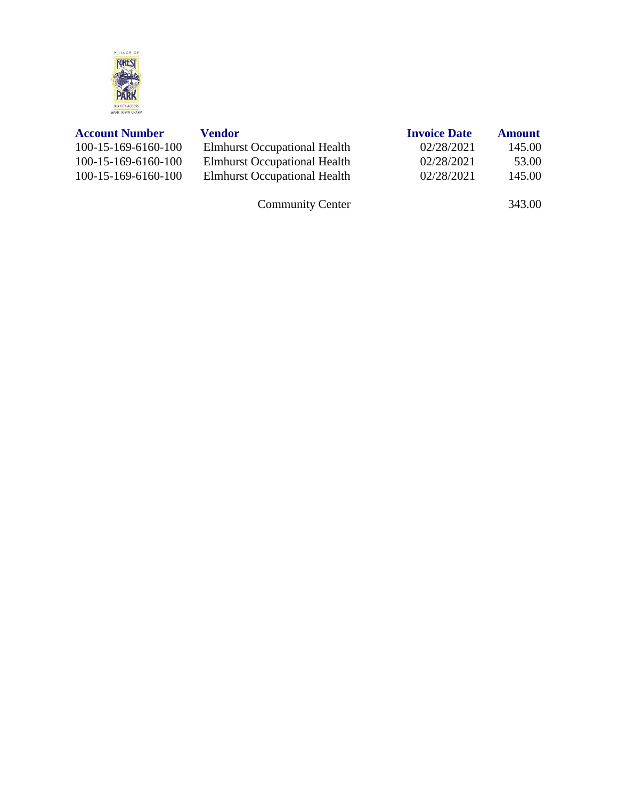

| <b>Account Number</b> | Vendor                              | <b>Invoice Date</b> | <b>Amount</b> |
|-----------------------|-------------------------------------|---------------------|---------------|
| $100-15-169-6160-100$ | <b>Elmhurst Occupational Health</b> | 02/28/2021          | 145.00        |
| $100-15-169-6160-100$ | <b>Elmhurst Occupational Health</b> | 02/28/2021          | 53.00         |
| $100-15-169-6160-100$ | <b>Elmhurst Occupational Health</b> | 02/28/2021          | 145.00        |
|                       |                                     |                     |               |

Community Center 343.00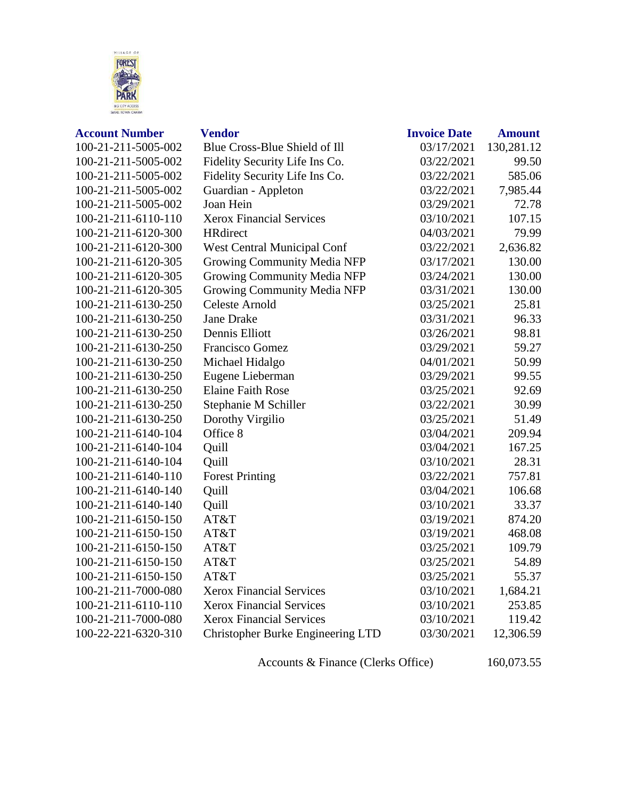

| <b>Account Number</b> | <b>Vendor</b>                      | <b>Invoice Date</b> | <b>Amount</b> |
|-----------------------|------------------------------------|---------------------|---------------|
| 100-21-211-5005-002   | Blue Cross-Blue Shield of Ill      | 03/17/2021          | 130,281.12    |
| 100-21-211-5005-002   | Fidelity Security Life Ins Co.     | 03/22/2021          | 99.50         |
| 100-21-211-5005-002   | Fidelity Security Life Ins Co.     | 03/22/2021          | 585.06        |
| 100-21-211-5005-002   | Guardian - Appleton                | 03/22/2021          | 7,985.44      |
| 100-21-211-5005-002   | Joan Hein                          | 03/29/2021          | 72.78         |
| 100-21-211-6110-110   | <b>Xerox Financial Services</b>    | 03/10/2021          | 107.15        |
| 100-21-211-6120-300   | <b>HRdirect</b>                    | 04/03/2021          | 79.99         |
| 100-21-211-6120-300   | West Central Municipal Conf        | 03/22/2021          | 2,636.82      |
| 100-21-211-6120-305   | Growing Community Media NFP        | 03/17/2021          | 130.00        |
| 100-21-211-6120-305   | Growing Community Media NFP        | 03/24/2021          | 130.00        |
| 100-21-211-6120-305   | <b>Growing Community Media NFP</b> | 03/31/2021          | 130.00        |
| 100-21-211-6130-250   | <b>Celeste Arnold</b>              | 03/25/2021          | 25.81         |
| 100-21-211-6130-250   | <b>Jane Drake</b>                  | 03/31/2021          | 96.33         |
| 100-21-211-6130-250   | Dennis Elliott                     | 03/26/2021          | 98.81         |
| 100-21-211-6130-250   | Francisco Gomez                    | 03/29/2021          | 59.27         |
| 100-21-211-6130-250   | Michael Hidalgo                    | 04/01/2021          | 50.99         |
| 100-21-211-6130-250   | Eugene Lieberman                   | 03/29/2021          | 99.55         |
| 100-21-211-6130-250   | <b>Elaine Faith Rose</b>           | 03/25/2021          | 92.69         |
| 100-21-211-6130-250   | Stephanie M Schiller               | 03/22/2021          | 30.99         |
| 100-21-211-6130-250   | Dorothy Virgilio                   | 03/25/2021          | 51.49         |
| 100-21-211-6140-104   | Office 8                           | 03/04/2021          | 209.94        |
| 100-21-211-6140-104   | Quill                              | 03/04/2021          | 167.25        |
| 100-21-211-6140-104   | Quill                              | 03/10/2021          | 28.31         |
| 100-21-211-6140-110   | <b>Forest Printing</b>             | 03/22/2021          | 757.81        |
| 100-21-211-6140-140   | Quill                              | 03/04/2021          | 106.68        |
| 100-21-211-6140-140   | Quill                              | 03/10/2021          | 33.37         |
| 100-21-211-6150-150   | AT&T                               | 03/19/2021          | 874.20        |
| 100-21-211-6150-150   | AT&T                               | 03/19/2021          | 468.08        |
| 100-21-211-6150-150   | AT&T                               | 03/25/2021          | 109.79        |
| 100-21-211-6150-150   | AT&T                               | 03/25/2021          | 54.89         |
| 100-21-211-6150-150   | AT&T                               | 03/25/2021          | 55.37         |
| 100-21-211-7000-080   | <b>Xerox Financial Services</b>    | 03/10/2021          | 1,684.21      |
| 100-21-211-6110-110   | <b>Xerox Financial Services</b>    | 03/10/2021          | 253.85        |
| 100-21-211-7000-080   | <b>Xerox Financial Services</b>    | 03/10/2021          | 119.42        |
| 100-22-221-6320-310   | Christopher Burke Engineering LTD  | 03/30/2021          | 12,306.59     |
|                       |                                    |                     |               |

Accounts & Finance (Clerks Office) 160,073.55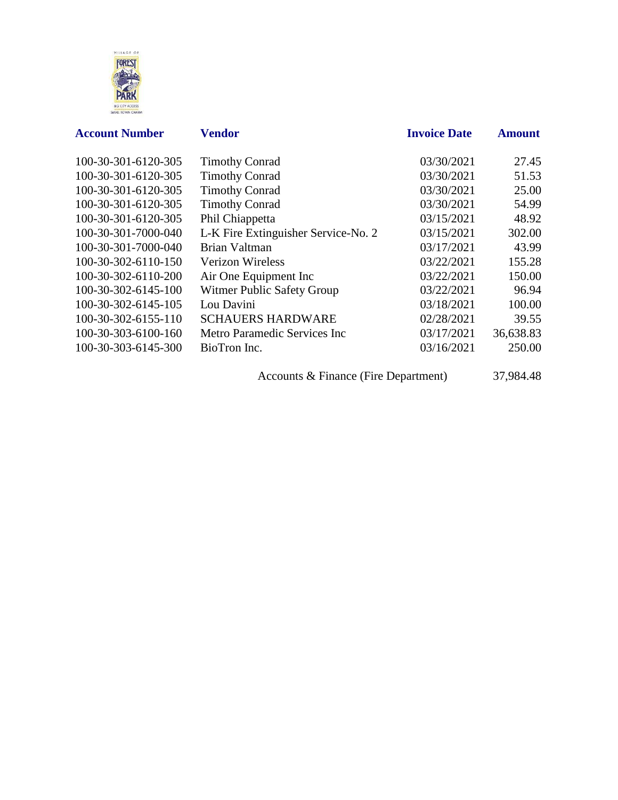

| <b>Account Number</b> | <b>Vendor</b>                       | <b>Invoice Date</b> | <b>Amount</b> |
|-----------------------|-------------------------------------|---------------------|---------------|
| 100-30-301-6120-305   | <b>Timothy Conrad</b>               | 03/30/2021          | 27.45         |
| 100-30-301-6120-305   | <b>Timothy Conrad</b>               | 03/30/2021          | 51.53         |
| 100-30-301-6120-305   | <b>Timothy Conrad</b>               | 03/30/2021          | 25.00         |
| 100-30-301-6120-305   | <b>Timothy Conrad</b>               | 03/30/2021          | 54.99         |
| 100-30-301-6120-305   | Phil Chiappetta                     | 03/15/2021          | 48.92         |
| 100-30-301-7000-040   | L-K Fire Extinguisher Service-No. 2 | 03/15/2021          | 302.00        |
| 100-30-301-7000-040   | Brian Valtman                       | 03/17/2021          | 43.99         |
| 100-30-302-6110-150   | <b>Verizon Wireless</b>             | 03/22/2021          | 155.28        |
| 100-30-302-6110-200   | Air One Equipment Inc               | 03/22/2021          | 150.00        |
| 100-30-302-6145-100   | Witmer Public Safety Group          | 03/22/2021          | 96.94         |
| 100-30-302-6145-105   | Lou Davini                          | 03/18/2021          | 100.00        |
| 100-30-302-6155-110   | <b>SCHAUERS HARDWARE</b>            | 02/28/2021          | 39.55         |
| 100-30-303-6100-160   | Metro Paramedic Services Inc        | 03/17/2021          | 36,638.83     |
| 100-30-303-6145-300   | BioTron Inc.                        | 03/16/2021          | 250.00        |

Accounts & Finance (Fire Department) 37,984.48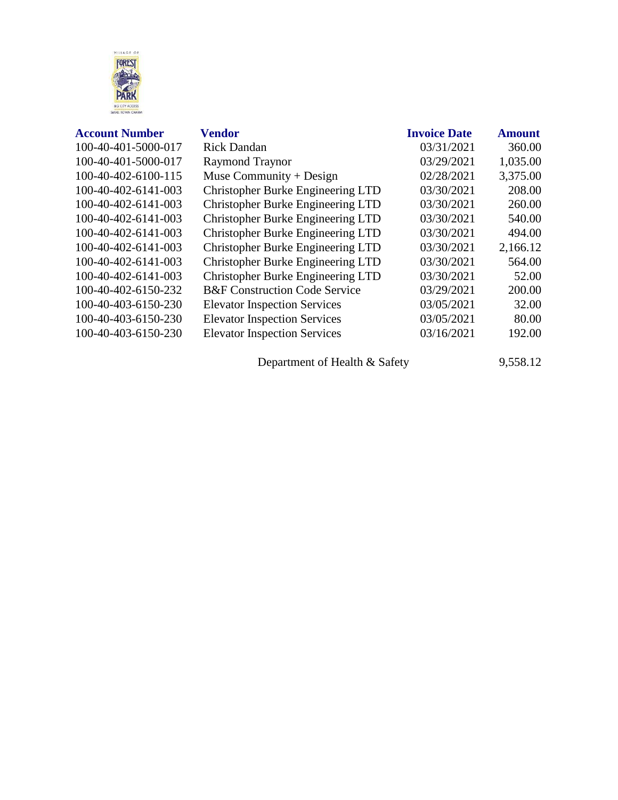

| <b>Account Number</b> | <b>Vendor</b>                            | <b>Invoice Date</b> | <b>Amount</b> |
|-----------------------|------------------------------------------|---------------------|---------------|
| 100-40-401-5000-017   | <b>Rick Dandan</b>                       | 03/31/2021          | 360.00        |
| 100-40-401-5000-017   | <b>Raymond Traynor</b>                   | 03/29/2021          | 1,035.00      |
| 100-40-402-6100-115   | Muse Community + Design                  | 02/28/2021          | 3,375.00      |
| 100-40-402-6141-003   | Christopher Burke Engineering LTD        | 03/30/2021          | 208.00        |
| 100-40-402-6141-003   | Christopher Burke Engineering LTD        | 03/30/2021          | 260.00        |
| 100-40-402-6141-003   | Christopher Burke Engineering LTD        | 03/30/2021          | 540.00        |
| 100-40-402-6141-003   | Christopher Burke Engineering LTD        | 03/30/2021          | 494.00        |
| 100-40-402-6141-003   | Christopher Burke Engineering LTD        | 03/30/2021          | 2,166.12      |
| 100-40-402-6141-003   | Christopher Burke Engineering LTD        | 03/30/2021          | 564.00        |
| 100-40-402-6141-003   | <b>Christopher Burke Engineering LTD</b> | 03/30/2021          | 52.00         |
| 100-40-402-6150-232   | <b>B&amp;F</b> Construction Code Service | 03/29/2021          | 200.00        |
| 100-40-403-6150-230   | <b>Elevator Inspection Services</b>      | 03/05/2021          | 32.00         |
| 100-40-403-6150-230   | <b>Elevator Inspection Services</b>      | 03/05/2021          | 80.00         |
| 100-40-403-6150-230   | <b>Elevator Inspection Services</b>      | 03/16/2021          | 192.00        |
|                       |                                          |                     |               |

Department of Health & Safety 9,558.12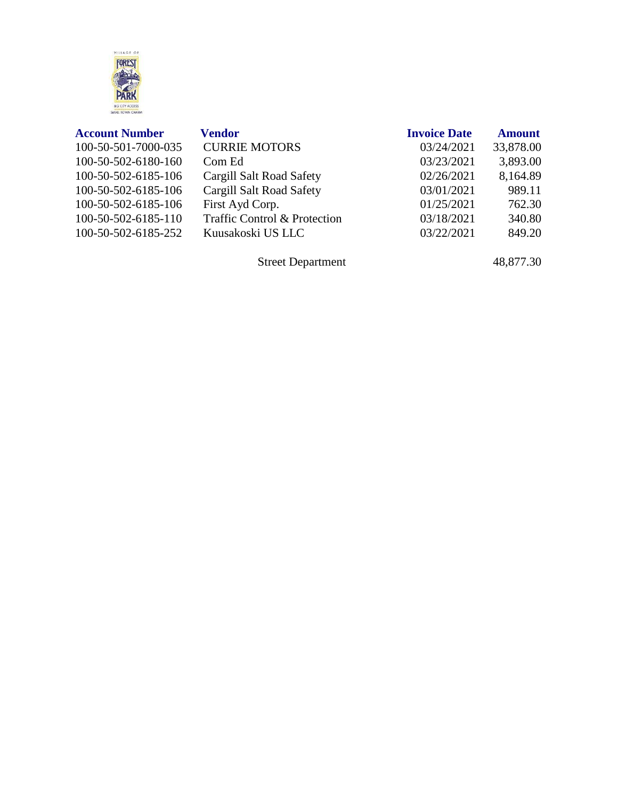

| <b>Account Number</b> | <b>Vendor</b>                | <b>Invoice Date</b> | <b>Amount</b> |
|-----------------------|------------------------------|---------------------|---------------|
| 100-50-501-7000-035   | <b>CURRIE MOTORS</b>         | 03/24/2021          | 33,878.00     |
| 100-50-502-6180-160   | Com Ed                       | 03/23/2021          | 3,893.00      |
| 100-50-502-6185-106   | Cargill Salt Road Safety     | 02/26/2021          | 8,164.89      |
| 100-50-502-6185-106   | Cargill Salt Road Safety     | 03/01/2021          | 989.11        |
| 100-50-502-6185-106   | First Ayd Corp.              | 01/25/2021          | 762.30        |
| 100-50-502-6185-110   | Traffic Control & Protection | 03/18/2021          | 340.80        |
| 100-50-502-6185-252   | Kuusakoski US LLC            | 03/22/2021          | 849.20        |
|                       |                              |                     |               |

Street Department 48,877.30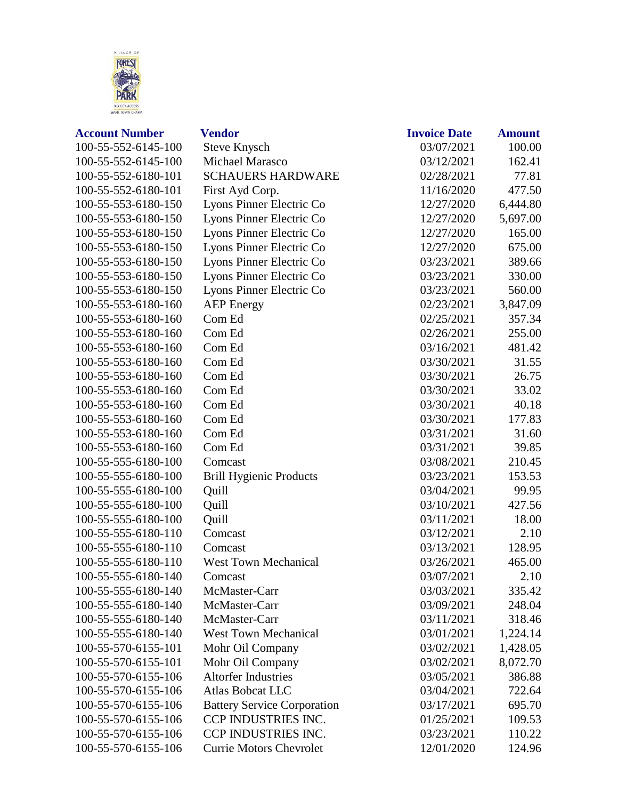

| <b>Account Number</b> | <b>Vendor</b>                      | <b>Invoice Date</b> | <b>Amount</b> |
|-----------------------|------------------------------------|---------------------|---------------|
| 100-55-552-6145-100   | <b>Steve Knysch</b>                | 03/07/2021          | 100.00        |
| 100-55-552-6145-100   | Michael Marasco                    | 03/12/2021          | 162.41        |
| 100-55-552-6180-101   | <b>SCHAUERS HARDWARE</b>           | 02/28/2021          | 77.81         |
| 100-55-552-6180-101   | First Ayd Corp.                    | 11/16/2020          | 477.50        |
| 100-55-553-6180-150   | Lyons Pinner Electric Co           | 12/27/2020          | 6,444.80      |
| 100-55-553-6180-150   | Lyons Pinner Electric Co           | 12/27/2020          | 5,697.00      |
| 100-55-553-6180-150   | Lyons Pinner Electric Co           | 12/27/2020          | 165.00        |
| 100-55-553-6180-150   | Lyons Pinner Electric Co           | 12/27/2020          | 675.00        |
| 100-55-553-6180-150   | Lyons Pinner Electric Co           | 03/23/2021          | 389.66        |
| 100-55-553-6180-150   | Lyons Pinner Electric Co           | 03/23/2021          | 330.00        |
| 100-55-553-6180-150   | Lyons Pinner Electric Co           | 03/23/2021          | 560.00        |
| 100-55-553-6180-160   | <b>AEP</b> Energy                  | 02/23/2021          | 3,847.09      |
| 100-55-553-6180-160   | Com Ed                             | 02/25/2021          | 357.34        |
| 100-55-553-6180-160   | Com Ed                             | 02/26/2021          | 255.00        |
| 100-55-553-6180-160   | Com Ed                             | 03/16/2021          | 481.42        |
| 100-55-553-6180-160   | Com Ed                             | 03/30/2021          | 31.55         |
| 100-55-553-6180-160   | Com Ed                             | 03/30/2021          | 26.75         |
| 100-55-553-6180-160   | Com Ed                             | 03/30/2021          | 33.02         |
| 100-55-553-6180-160   | Com Ed                             | 03/30/2021          | 40.18         |
| 100-55-553-6180-160   | Com Ed                             | 03/30/2021          | 177.83        |
| 100-55-553-6180-160   | Com Ed                             | 03/31/2021          | 31.60         |
| 100-55-553-6180-160   | Com Ed                             | 03/31/2021          | 39.85         |
| 100-55-555-6180-100   | Comcast                            | 03/08/2021          | 210.45        |
| 100-55-555-6180-100   | <b>Brill Hygienic Products</b>     | 03/23/2021          | 153.53        |
| 100-55-555-6180-100   | Quill                              | 03/04/2021          | 99.95         |
| 100-55-555-6180-100   | Quill                              | 03/10/2021          | 427.56        |
| 100-55-555-6180-100   | Quill                              | 03/11/2021          | 18.00         |
| 100-55-555-6180-110   | Comcast                            | 03/12/2021          | 2.10          |
| 100-55-555-6180-110   | Comcast                            | 03/13/2021          | 128.95        |
| 100-55-555-6180-110   | <b>West Town Mechanical</b>        | 03/26/2021          | 465.00        |
| 100-55-555-6180-140   | Comcast                            | 03/07/2021          | 2.10          |
| 100-55-555-6180-140   | McMaster-Carr                      | 03/03/2021          | 335.42        |
| 100-55-555-6180-140   | McMaster-Carr                      | 03/09/2021          | 248.04        |
| 100-55-555-6180-140   | McMaster-Carr                      | 03/11/2021          | 318.46        |
| 100-55-555-6180-140   | <b>West Town Mechanical</b>        | 03/01/2021          | 1,224.14      |
| 100-55-570-6155-101   | Mohr Oil Company                   | 03/02/2021          | 1,428.05      |
| 100-55-570-6155-101   | Mohr Oil Company                   | 03/02/2021          | 8,072.70      |
| 100-55-570-6155-106   | <b>Altorfer Industries</b>         | 03/05/2021          | 386.88        |
| 100-55-570-6155-106   | <b>Atlas Bobcat LLC</b>            | 03/04/2021          | 722.64        |
| 100-55-570-6155-106   | <b>Battery Service Corporation</b> | 03/17/2021          | 695.70        |
| 100-55-570-6155-106   | CCP INDUSTRIES INC.                | 01/25/2021          | 109.53        |
| 100-55-570-6155-106   | CCP INDUSTRIES INC.                | 03/23/2021          | 110.22        |
| 100-55-570-6155-106   | <b>Currie Motors Chevrolet</b>     | 12/01/2020          | 124.96        |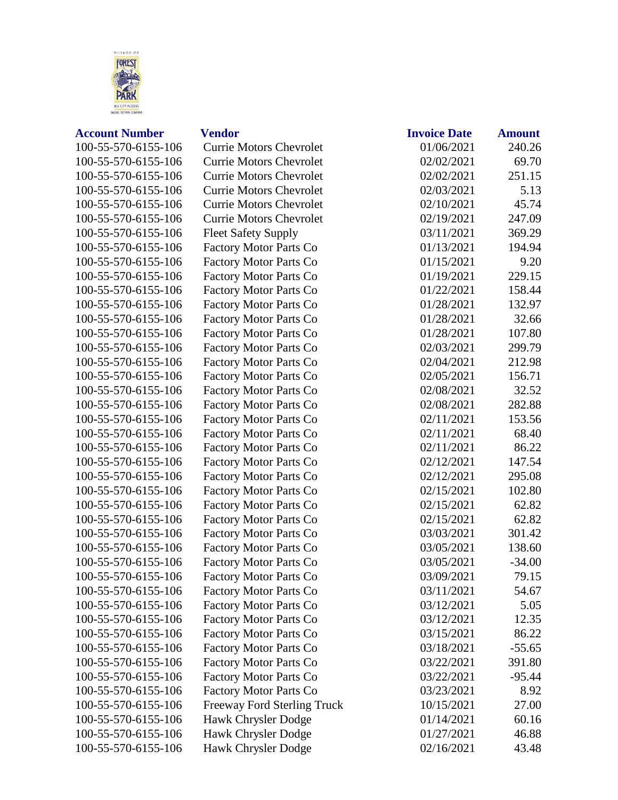

## **Account Number Vendor I**

100-55-570-6155-106 Currie Motors Chevrolet 100-55-570-6155-106 Currie Motors Chevrolet 100-55-570-6155-106 Currie Motors Chevrolet 100-55-570-6155-106 Currie Motors Chevrolet 100-55-570-6155-106 Currie Motors Chevrolet 100-55-570-6155-106 Currie Motors Chevrolet 100-55-570-6155-106 Fleet Safety Supply 100-55-570-6155-106 Factory Motor Parts Co 100-55-570-6155-106 Factory Motor Parts Co 100-55-570-6155-106 Factory Motor Parts Co 100-55-570-6155-106 Factory Motor Parts Co 100-55-570-6155-106 Factory Motor Parts Co 100-55-570-6155-106 Factory Motor Parts Co 100-55-570-6155-106 Factory Motor Parts Co 100-55-570-6155-106 Factory Motor Parts Co 100-55-570-6155-106 Factory Motor Parts Co 100-55-570-6155-106 Factory Motor Parts Co 100-55-570-6155-106 Factory Motor Parts Co 100-55-570-6155-106 Factory Motor Parts Co 100-55-570-6155-106 Factory Motor Parts Co 100-55-570-6155-106 Factory Motor Parts Co 100-55-570-6155-106 Factory Motor Parts Co 100-55-570-6155-106 Factory Motor Parts Co 100-55-570-6155-106 Factory Motor Parts Co 100-55-570-6155-106 Factory Motor Parts Co 100-55-570-6155-106 Factory Motor Parts Co 100-55-570-6155-106 Factory Motor Parts Co 100-55-570-6155-106 Factory Motor Parts Co 100-55-570-6155-106 Factory Motor Parts Co 100-55-570-6155-106 Factory Motor Parts Co 100-55-570-6155-106 Factory Motor Parts Co 100-55-570-6155-106 Factory Motor Parts Co 100-55-570-6155-106 Factory Motor Parts Co 100-55-570-6155-106 Factory Motor Parts Co 100-55-570-6155-106 Factory Motor Parts Co 100-55-570-6155-106 Factory Motor Parts Co 100-55-570-6155-106 Factory Motor Parts Co 100-55-570-6155-106 Factory Motor Parts Co 100-55-570-6155-106 Factory Motor Parts Co 100-55-570-6155-106 Freeway Ford Sterling Truck 100-55-570-6155-106 Hawk Chrysler Dodge

100-55-570-6155-106 Hawk Chrysler Dodge 100-55-570-6155-106 Hawk Chrysler Dodge

| <b>Invoice Date</b> | <b>Amount</b> |
|---------------------|---------------|
| 01/06/2021          | 240.26        |
| 02/02/2021          | 69.70         |
| 02/02/2021          | 251.15        |
| 02/03/2021          | 5.13          |
| 02/10/2021          | 45.74         |
| 02/19/2021          | 247.09        |
| 03/11/2021          | 369.29        |
| 01/13/2021          | 194.94        |
| 01/15/2021          | 9.20          |
| 01/19/2021          | 229.15        |
| 01/22/2021          | 158.44        |
| 01/28/2021          | 132.97        |
| 01/28/2021          | 32.66         |
| 01/28/2021          | 107.80        |
| 02/03/2021          | 299.79        |
| 02/04/2021          | 212.98        |
| 02/05/2021          | 156.71        |
| 02/08/2021          | 32.52         |
| 02/08/2021          | 282.88        |
| 02/11/2021          | 153.56        |
| 02/11/2021          | 68.40         |
| 02/11/2021          | 86.22         |
| 02/12/2021          | 147.54        |
| 02/12/2021          | 295.08        |
| 02/15/2021          | 102.80        |
| 02/15/2021          | 62.82         |
| 02/15/2021          | 62.82         |
| 03/03/2021          | 301.42        |
| 03/05/2021          | 138.60        |
| 03/05/2021          | $-34.00$      |
| 03/09/2021          | 79.15         |
| 03/11/2021          | 54.67         |
| 03/12/2021          | 5.05          |
| 03/12/2021          | 12.35         |
| 03/15/2021          | 86.22         |
| 03/18/2021          | $-55.65$      |
| 03/22/2021          | 391.80        |
| 03/22/2021          | $-95.44$      |
| 03/23/2021          | 8.92          |
| 10/15/2021          | 27.00         |
| 01/14/2021          | 60.16         |
| 01/27/2021          | 46.88         |
| 02/16/2021          | 43.48         |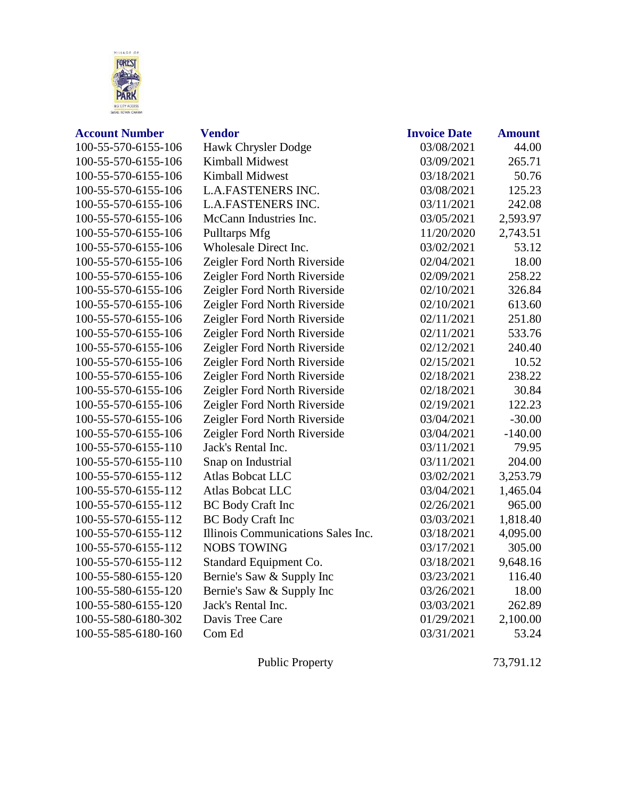

| <b>Account Number</b> | <b>Vendor</b>                      | <b>Invoice Date</b> | <b>Amount</b> |
|-----------------------|------------------------------------|---------------------|---------------|
| 100-55-570-6155-106   | Hawk Chrysler Dodge                | 03/08/2021          | 44.00         |
| 100-55-570-6155-106   | Kimball Midwest                    | 03/09/2021          | 265.71        |
| 100-55-570-6155-106   | <b>Kimball Midwest</b>             | 03/18/2021          | 50.76         |
| 100-55-570-6155-106   | <b>L.A.FASTENERS INC.</b>          | 03/08/2021          | 125.23        |
| 100-55-570-6155-106   | <b>L.A.FASTENERS INC.</b>          | 03/11/2021          | 242.08        |
| 100-55-570-6155-106   | McCann Industries Inc.             | 03/05/2021          | 2,593.97      |
| 100-55-570-6155-106   | Pulltarps Mfg                      | 11/20/2020          | 2,743.51      |
| 100-55-570-6155-106   | Wholesale Direct Inc.              | 03/02/2021          | 53.12         |
| 100-55-570-6155-106   | Zeigler Ford North Riverside       | 02/04/2021          | 18.00         |
| 100-55-570-6155-106   | Zeigler Ford North Riverside       | 02/09/2021          | 258.22        |
| 100-55-570-6155-106   | Zeigler Ford North Riverside       | 02/10/2021          | 326.84        |
| 100-55-570-6155-106   | Zeigler Ford North Riverside       | 02/10/2021          | 613.60        |
| 100-55-570-6155-106   | Zeigler Ford North Riverside       | 02/11/2021          | 251.80        |
| 100-55-570-6155-106   | Zeigler Ford North Riverside       | 02/11/2021          | 533.76        |
| 100-55-570-6155-106   | Zeigler Ford North Riverside       | 02/12/2021          | 240.40        |
| 100-55-570-6155-106   | Zeigler Ford North Riverside       | 02/15/2021          | 10.52         |
| 100-55-570-6155-106   | Zeigler Ford North Riverside       | 02/18/2021          | 238.22        |
| 100-55-570-6155-106   | Zeigler Ford North Riverside       | 02/18/2021          | 30.84         |
| 100-55-570-6155-106   | Zeigler Ford North Riverside       | 02/19/2021          | 122.23        |
| 100-55-570-6155-106   | Zeigler Ford North Riverside       | 03/04/2021          | $-30.00$      |
| 100-55-570-6155-106   | Zeigler Ford North Riverside       | 03/04/2021          | $-140.00$     |
| 100-55-570-6155-110   | Jack's Rental Inc.                 | 03/11/2021          | 79.95         |
| 100-55-570-6155-110   | Snap on Industrial                 | 03/11/2021          | 204.00        |
| 100-55-570-6155-112   | <b>Atlas Bobcat LLC</b>            | 03/02/2021          | 3,253.79      |
| 100-55-570-6155-112   | <b>Atlas Bobcat LLC</b>            | 03/04/2021          | 1,465.04      |
| 100-55-570-6155-112   | <b>BC</b> Body Craft Inc           | 02/26/2021          | 965.00        |
| 100-55-570-6155-112   | <b>BC</b> Body Craft Inc           | 03/03/2021          | 1,818.40      |
| 100-55-570-6155-112   | Illinois Communications Sales Inc. | 03/18/2021          | 4,095.00      |
| 100-55-570-6155-112   | <b>NOBS TOWING</b>                 | 03/17/2021          | 305.00        |
| 100-55-570-6155-112   | Standard Equipment Co.             | 03/18/2021          | 9,648.16      |
| 100-55-580-6155-120   | Bernie's Saw & Supply Inc          | 03/23/2021          | 116.40        |
| 100-55-580-6155-120   | Bernie's Saw & Supply Inc          | 03/26/2021          | 18.00         |
| 100-55-580-6155-120   | Jack's Rental Inc.                 | 03/03/2021          | 262.89        |
| 100-55-580-6180-302   | Davis Tree Care                    | 01/29/2021          | 2,100.00      |
| 100-55-585-6180-160   | Com Ed                             | 03/31/2021          | 53.24         |
|                       |                                    |                     |               |

Public Property 73,791.12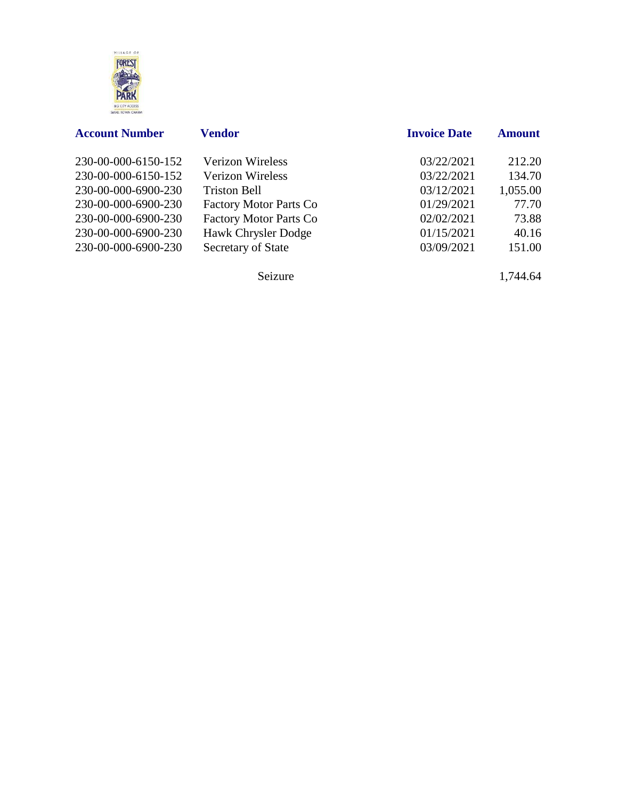

| <b>Account Number</b> | <b>Vendor</b>                 | <b>Invoice Date</b> | <b>Amount</b> |
|-----------------------|-------------------------------|---------------------|---------------|
| 230-00-000-6150-152   | <b>Verizon Wireless</b>       | 03/22/2021          | 212.20        |
| 230-00-000-6150-152   | <b>Verizon Wireless</b>       | 03/22/2021          | 134.70        |
| 230-00-000-6900-230   | <b>Triston Bell</b>           | 03/12/2021          | 1,055.00      |
| 230-00-000-6900-230   | <b>Factory Motor Parts Co</b> | 01/29/2021          | 77.70         |
| 230-00-000-6900-230   | <b>Factory Motor Parts Co</b> | 02/02/2021          | 73.88         |
| 230-00-000-6900-230   | Hawk Chrysler Dodge           | 01/15/2021          | 40.16         |
| 230-00-000-6900-230   | Secretary of State            | 03/09/2021          | 151.00        |

Seizure 1,744.64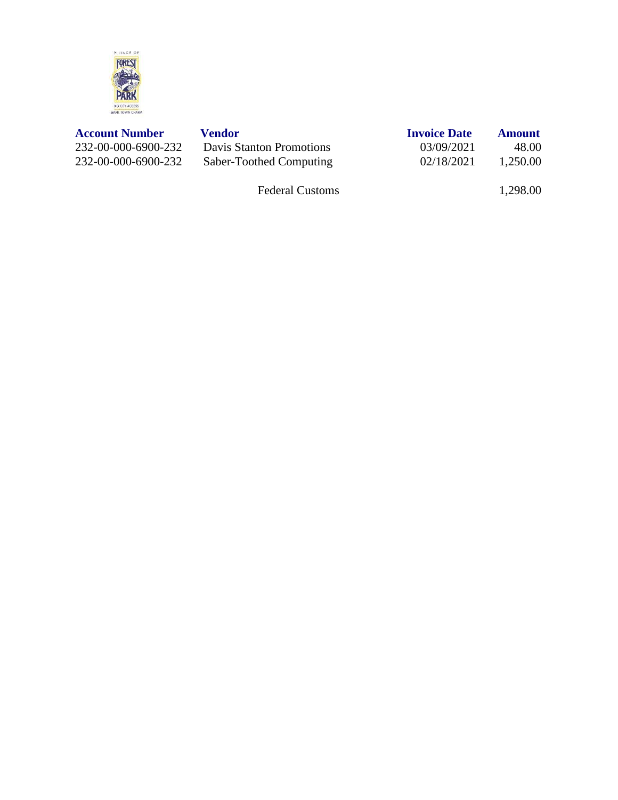

| <b>Account Number</b> | Vendor                   | <b>Invoice Date</b> | <b>Amount</b> |
|-----------------------|--------------------------|---------------------|---------------|
| 232-00-000-6900-232   | Davis Stanton Promotions | 03/09/2021          | 48.00         |
| 232-00-000-6900-232   | Saber-Toothed Computing  | 02/18/2021          | 1,250.00      |

Federal Customs 1,298.00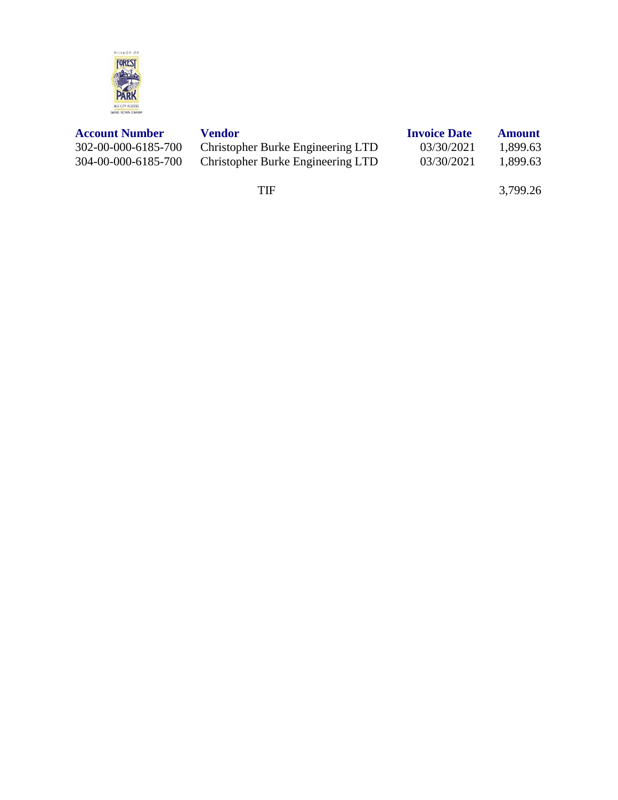

| <b>Account Number</b> | Vendor                            | <b>Invoice Date</b> | <b>Amount</b> |
|-----------------------|-----------------------------------|---------------------|---------------|
| 302-00-000-6185-700   | Christopher Burke Engineering LTD | 03/30/2021          | 1,899.63      |
| 304-00-000-6185-700   | Christopher Burke Engineering LTD | 03/30/2021          | 1,899.63      |

TIF 3,799.26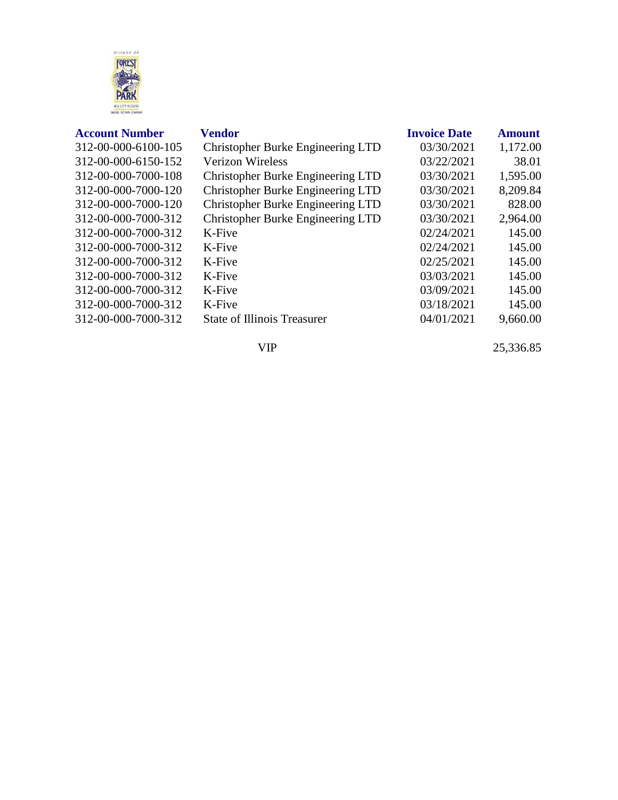

| <b>Account Number</b> |  |  |
|-----------------------|--|--|
|-----------------------|--|--|

| <b>Account Number</b> | Vendor                                   | <b>Invoice Date</b> | <b>Amount</b> |
|-----------------------|------------------------------------------|---------------------|---------------|
| 312-00-000-6100-105   | Christopher Burke Engineering LTD        | 03/30/2021          | 1,172.00      |
| 312-00-000-6150-152   | Verizon Wireless                         | 03/22/2021          | 38.01         |
| 312-00-000-7000-108   | Christopher Burke Engineering LTD        | 03/30/2021          | 1,595.00      |
| 312-00-000-7000-120   | <b>Christopher Burke Engineering LTD</b> | 03/30/2021          | 8,209.84      |
| 312-00-000-7000-120   | Christopher Burke Engineering LTD        | 03/30/2021          | 828.00        |
| 312-00-000-7000-312   | Christopher Burke Engineering LTD        | 03/30/2021          | 2,964.00      |
| 312-00-000-7000-312   | K-Five                                   | 02/24/2021          | 145.00        |
| 312-00-000-7000-312   | K-Five                                   | 02/24/2021          | 145.00        |
| 312-00-000-7000-312   | K-Five                                   | 02/25/2021          | 145.00        |
| 312-00-000-7000-312   | K-Five                                   | 03/03/2021          | 145.00        |
| 312-00-000-7000-312   | K-Five                                   | 03/09/2021          | 145.00        |
| 312-00-000-7000-312   | K-Five                                   | 03/18/2021          | 145.00        |
| 312-00-000-7000-312   | <b>State of Illinois Treasurer</b>       | 04/01/2021          | 9,660.00      |
|                       |                                          |                     |               |

VIP 25,336.85